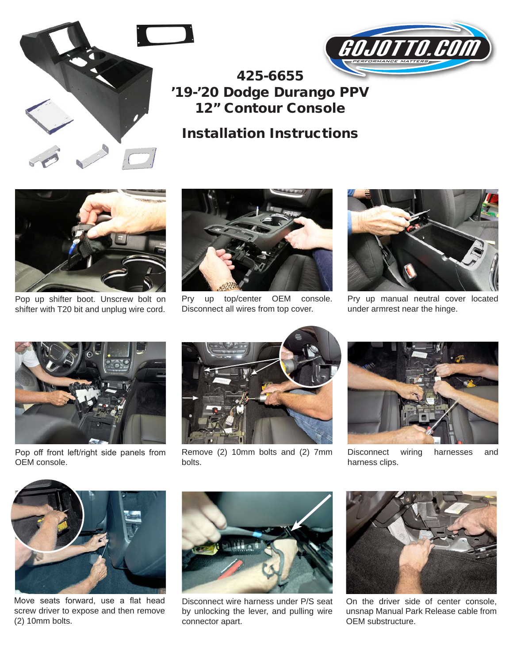



## 425-6655 '19-'20 Dodge Durango PPV 12" Contour Console

## Installation Instructions



Pop up shifter boot. Unscrew bolt on shifter with T20 bit and unplug wire cord.



Pry up top/center OEM console. Disconnect all wires from top cover.



Pry up manual neutral cover located under armrest near the hinge.



Pop off front left/right side panels from OEM console.



Remove (2) 10mm bolts and (2) 7mm bolts.



Disconnect wiring harnesses and harness clips.



Move seats forward, use a flat head screw driver to expose and then remove (2) 10mm bolts.



Disconnect wire harness under P/S seat by unlocking the lever, and pulling wire connector apart.



On the driver side of center console, unsnap Manual Park Release cable from OEM substructure.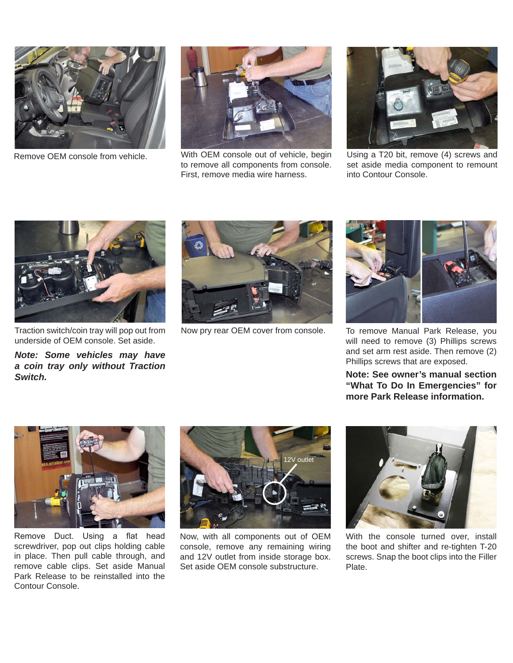

Remove OEM console from vehicle.



With OEM console out of vehicle, begin to remove all components from console. First, remove media wire harness.



Using a T20 bit, remove (4) screws and set aside media component to remount into Contour Console.



Traction switch/coin tray will pop out from underside of OEM console. Set aside.

*Note: Some vehicles may have a coin tray only without Traction Switch.*



Now pry rear OEM cover from console.



To remove Manual Park Release, you will need to remove (3) Phillips screws and set arm rest aside. Then remove (2) Phillips screws that are exposed.

**Note: See owner's manual section "What To Do In Emergencies" for more Park Release information.**



Remove Duct. Using a flat head screwdriver, pop out clips holding cable in place. Then pull cable through, and remove cable clips. Set aside Manual Park Release to be reinstalled into the Contour Console.



Now, with all components out of OEM console, remove any remaining wiring and 12V outlet from inside storage box. Set aside OEM console substructure.



With the console turned over, install the boot and shifter and re-tighten T-20 screws. Snap the boot clips into the Filler Plate.